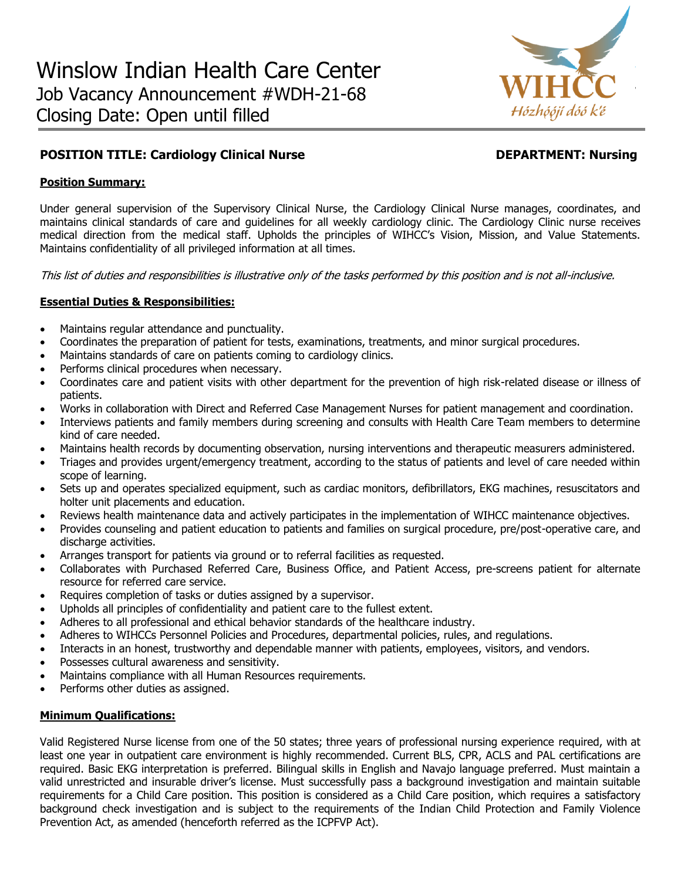

# **POSITION TITLE: Cardiology Clinical Nurse Community Construction Construction DEPARTMENT: Nursing**

### **Position Summary:**

Under general supervision of the Supervisory Clinical Nurse, the Cardiology Clinical Nurse manages, coordinates, and maintains clinical standards of care and guidelines for all weekly cardiology clinic. The Cardiology Clinic nurse receives medical direction from the medical staff. Upholds the principles of WIHCC's Vision, Mission, and Value Statements. Maintains confidentiality of all privileged information at all times.

This list of duties and responsibilities is illustrative only of the tasks performed by this position and is not all-inclusive.

### **Essential Duties & Responsibilities:**

- Maintains regular attendance and punctuality.
- Coordinates the preparation of patient for tests, examinations, treatments, and minor surgical procedures.
- Maintains standards of care on patients coming to cardiology clinics.
- Performs clinical procedures when necessary.
- Coordinates care and patient visits with other department for the prevention of high risk-related disease or illness of patients.
- Works in collaboration with Direct and Referred Case Management Nurses for patient management and coordination.
- Interviews patients and family members during screening and consults with Health Care Team members to determine kind of care needed.
- Maintains health records by documenting observation, nursing interventions and therapeutic measurers administered.
- Triages and provides urgent/emergency treatment, according to the status of patients and level of care needed within scope of learning.
- Sets up and operates specialized equipment, such as cardiac monitors, defibrillators, EKG machines, resuscitators and holter unit placements and education.
- Reviews health maintenance data and actively participates in the implementation of WIHCC maintenance objectives.
- Provides counseling and patient education to patients and families on surgical procedure, pre/post-operative care, and discharge activities.
- Arranges transport for patients via ground or to referral facilities as requested.
- Collaborates with Purchased Referred Care, Business Office, and Patient Access, pre-screens patient for alternate resource for referred care service.
- Requires completion of tasks or duties assigned by a supervisor.
- Upholds all principles of confidentiality and patient care to the fullest extent.
- Adheres to all professional and ethical behavior standards of the healthcare industry.
- Adheres to WIHCCs Personnel Policies and Procedures, departmental policies, rules, and regulations.
- Interacts in an honest, trustworthy and dependable manner with patients, employees, visitors, and vendors.
- Possesses cultural awareness and sensitivity.
- Maintains compliance with all Human Resources requirements.
- Performs other duties as assigned.

#### **Minimum Qualifications:**

Valid Registered Nurse license from one of the 50 states; three years of professional nursing experience required, with at least one year in outpatient care environment is highly recommended. Current BLS, CPR, ACLS and PAL certifications are required. Basic EKG interpretation is preferred. Bilingual skills in English and Navajo language preferred. Must maintain a valid unrestricted and insurable driver's license. Must successfully pass a background investigation and maintain suitable requirements for a Child Care position. This position is considered as a Child Care position, which requires a satisfactory background check investigation and is subject to the requirements of the Indian Child Protection and Family Violence Prevention Act, as amended (henceforth referred as the ICPFVP Act).